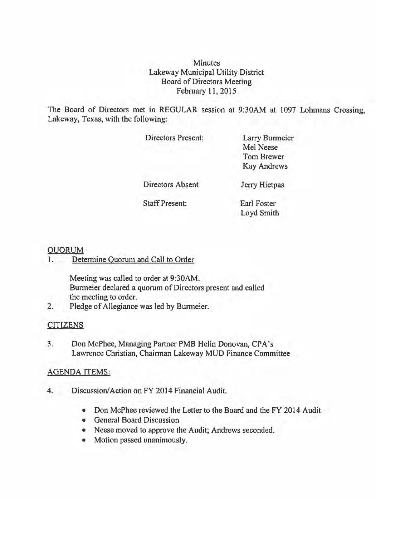**Minutes** Lakeway Municipal Utility District Board of Directors Meeting February 11,2015

The Board of Directors met in REGULAR session at 9:30AM at 1097 Lohmans Crossing, Lakeway, Texas, with the following:

Directors Present:

Larry Burmeier Mel Neese Tom Brewer Kay Andrews

Directors Absent

Jerry Hietpas

Staff Present:

Earl Foster Loyd Smith

### QUORUM

1. Determine Quorum and Call to Order

Meeting was called to order at 9:30AM. Burmeier declared a quorum of Directors present and called the meeting to order.

2. Pledge of Allegiance was led by Burmeier.

### CITIZENS

3. Don McPhee, Managing Partner PMB Helin Donovan, CPA's Lawrence Christian, Chairman Lakeway MUD Finance Committee

### AGENDA ITEMS:

- 4. Discussion/Action on FY 2014 Financial Audit.
	- Don McPhee reviewed the Letter to the Board and the FY 2014 Audit
	- General Board Discussion
	- Neese moved to approve the Audit; Andrews seconded.
	- Motion passed unanimously.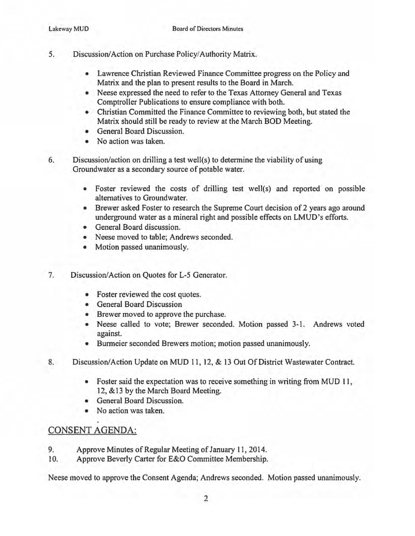- 5. Discussion/Action on Purchase Policy/Authority Matrix.
	- Lawrence Christian Reviewed Finance Committee progress on the Policy and Matrix and the plan to present results to the Board in March.
	- Neese expressed the need to refer to the Texas Attorney General and Texas Comptroller Publications to ensure compliance with both.
	- Christian Committed the Finance Committee to reviewing both, but stated the Matrix should still be ready to review at the March BOD Meeting.
	- General Board Discussion.
	- No action was taken.

6. Discussion/action on drilling a test well(s) to determine the viability of using Groundwater as a secondary source of potable water.

- Foster reviewed the costs of drilling test well(s) and reported on possible alternatives to Groundwater.
- Brewer asked Foster to research the Supreme Court decision of 2 years ago around underground water as a mineral right and possible effects on LMUD's efforts.
- General Board discussion.
- Neese moved to table; Andrews seconded.
- Motion passed unanimously.
- 7. Discussion/Action on Quotes for L-5 Generator.
	- Foster reviewed the cost quotes.
	- General Board Discussion
	- Brewer moved to approve the purchase.
	- Neese called to vote; Brewer seconded. Motion passed 3-1. Andrews voted against.
	- Burmeier seconded Brewers motion; motion passed unanimously.
- 8. Discussion/Action Update on MUD 11, 12, & 13 Out Of District Wastewater Contract.
	- Foster said the expectation was to receive something in writing from MUD 11, 12, & 13 by the March Board Meeting.
	- General Board Discussion.
	- No action was taken.

# CONSENT AGENDA:

- 9. Approve Minutes of Regular Meeting of January 11,2014.
- 10. Approve Beverly Carter for E&O Committee Membership.

Neese moved to approve the Consent Agenda; Andrews seconded. Motion passed unanimously.